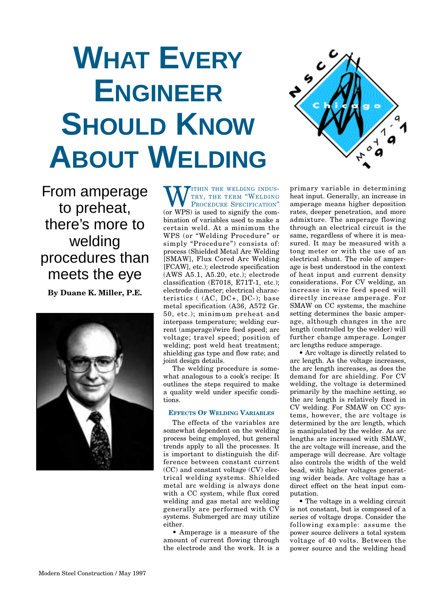# **WHAT EVERY ENGINEER SHOULD KNOW ABOUT WELDING**



From amperage to preheat, there's more to welding procedures than meets the eye

**By Duane K. Miller, P.E.**



WITHIN THE WELDING INDUS-<br>
TRY, THE TERM "WELDING<br>
PROCEDURE SPECIFICATION" TRY, THE TERM "WELDING PROCEDURE SPECIFICATION" (or WPS) is used to signify the combination of variables used to make a certain weld. At a minimum the WPS (or "Welding Procedure" or simply "Procedure") consists of: process (Shielded Metal Arc Welding [SMAW], Flux Cored Arc Welding [FCAW], etc.); electrode specification (AWS A5.1, A5.20, etc.); electrode classification (E7018, E71T-1, etc.); electrode diameter; electrical characteristics ( (AC, DC+, DC-); base metal specification (A36, A572 Gr. 50, etc.); minimum preheat and interpass temperature; welding current (amperage)/wire feed speed; arc voltage; travel speed; position of welding; post weld heat treatment; shielding gas type and flow rate; and joint design details.

The welding procedure is somewhat analogous to a cook's recipe: It outlines the steps required to make a quality weld under specific conditions.

## **EFFECTS OF WELDING VARIABLES**

The effects of the variables are somewhat dependent on the welding process being employed, but general trends apply to all the processes. It is important to distinguish the difference between constant current (CC) and constant voltage (CV) electrical welding systems. Shielded metal arc welding is always done with a CC system, while flux cored welding and gas metal arc welding generally are performed with CV systems. Submerged arc may utilize either.

• Amperage is a measure of the amount of current flowing through the electrode and the work. It is a primary variable in determining heat input. Generally, an increase in amperage means higher deposition rates, deeper penetration, and more admixture. The amperage flowing through an electrical circuit is the same, regardless of where it is measured. It may be measured with a tong meter or with the use of an electrical shunt. The role of amperage is best understood in the context of heat input and current density considerations. For CV welding, an increase in wire feed speed will directly increase amperage. For SMAW on CC systems, the machine setting determines the basic amperage, although changes in the arc length (controlled by the welder) will further change amperage. Longer arc lengths reduce amperage.

• Arc voltage is directly related to arc length. As the voltage increases, the arc length increases, as does the demand for arc shielding. For CV welding, the voltage is determined primarily by the machine setting, so the arc length is relatively fixed in CV welding. For SMAW on CC systems, however, the arc voltage is determined by the arc length, which is manipulated by the welder. As arc lengths are increased with SMAW, the arc voltage will increase, and the amperage will decrease. Arc voltage also controls the width of the weld bead, with higher voltages generating wider beads. Arc voltage has a direct effect on the heat input computation.

• The voltage in a welding circuit is not constant, but is composed of a series of voltage drops. Consider the following example: assume the power source delivers a total system voltage of 40 volts. Between the power source and the welding head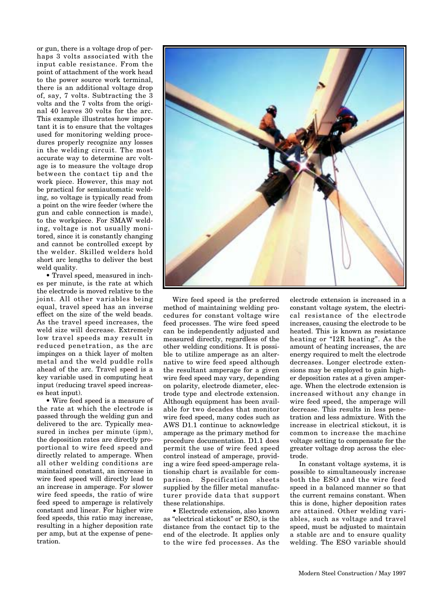or gun, there is a voltage drop of perhaps 3 volts associated with the input cable resistance. From the point of attachment of the work head to the power source work terminal, there is an additional voltage drop of, say, 7 volts. Subtracting the 3 volts and the 7 volts from the original 40 leaves 30 volts for the arc. This example illustrates how important it is to ensure that the voltages used for monitoring welding procedures properly recognize any losses in the welding circuit. The most accurate way to determine arc voltage is to measure the voltage drop between the contact tip and the work piece. However, this may not be practical for semiautomatic welding, so voltage is typically read from a point on the wire feeder (where the gun and cable connection is made), to the workpiece. For SMAW welding, voltage is not usually monitored, since it is constantly changing and cannot be controlled except by the welder. Skilled welders hold short arc lengths to deliver the best weld quality.

• Travel speed, measured in inches per minute, is the rate at which the electrode is moved relative to the joint. All other variables being equal, travel speed has an inverse effect on the size of the weld beads. As the travel speed increases, the weld size will decrease. Extremely low travel speeds may result in reduced penetration, as the arc impinges on a thick layer of molten metal and the weld puddle rolls ahead of the arc. Travel speed is a key variable used in computing heat input (reducing travel speed increases heat input).

• Wire feed speed is a measure of the rate at which the electrode is passed through the welding gun and delivered to the arc. Typically measured in inches per minute (ipm), the deposition rates are directly proportional to wire feed speed and directly related to amperage. When all other welding conditions are maintained constant, an increase in wire feed speed will directly lead to an increase in amperage. For slower wire feed speeds, the ratio of wire feed speed to amperage is relatively constant and linear. For higher wire feed speeds, this ratio may increase, resulting in a higher deposition rate per amp, but at the expense of penetration.



Wire feed speed is the preferred method of maintaining welding procedures for constant voltage wire feed processes. The wire feed speed can be independently adjusted and measured directly, regardless of the other welding conditions. It is possible to utilize amperage as an alternative to wire feed speed although the resultant amperage for a given wire feed speed may vary, depending on polarity, electrode diameter, electrode type and electrode extension. Although equipment has been available for two decades that monitor wire feed speed, many codes such as AWS D1.1 continue to acknowledge amperage as the primary method for procedure documentation. D1.1 does permit the use of wire feed speed control instead of amperage, providing a wire feed speed-amperage relationship chart is available for comparison. Specification sheets supplied by the filler metal manufacturer provide data that support these relationships.

• Electrode extension, also known as "electrical stickout" or ESO, is the distance from the contact tip to the end of the electrode. It applies only to the wire fed processes. As the electrode extension is increased in a constant voltage system, the electrical resistance of the electrode increases, causing the electrode to be heated. This is known as resistance heating or "I2R heating". As the amount of heating increases, the arc energy required to melt the electrode decreases. Longer electrode extensions may be employed to gain higher deposition rates at a given amperage. When the electrode extension is increased without any change in wire feed speed, the amperage will decrease. This results in less penetration and less admixture. With the increase in electrical stickout, it is common to increase the machine voltage setting to compensate for the greater voltage drop across the electrode.

In constant voltage systems, it is possible to simultaneously increase both the ESO and the wire feed speed in a balanced manner so that the current remains constant. When this is done, higher deposition rates are attained. Other welding variables, such as voltage and travel speed, must be adjusted to maintain a stable arc and to ensure quality welding. The ESO variable should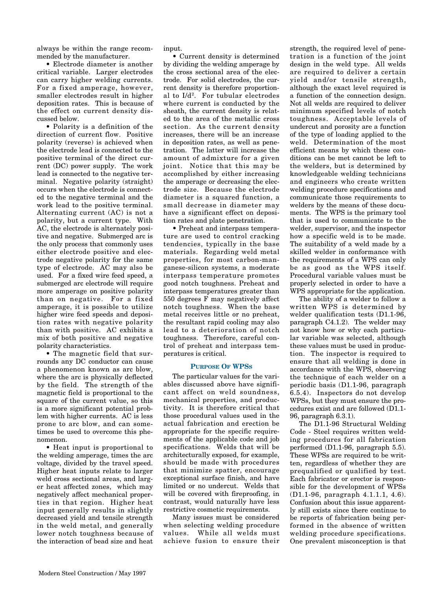always be within the range recommended by the manufacturer.

• Electrode diameter is another critical variable. Larger electrodes can carry higher welding currents. For a fixed amperage, however, smaller electrodes result in higher deposition rates. This is because of the effect on current density discussed below.

• Polarity is a definition of the direction of current flow. Positive polarity (reverse) is achieved when the electrode lead is connected to the positive terminal of the direct current (DC) power supply. The work lead is connected to the negative terminal. Negative polarity (straight) occurs when the electrode is connected to the negative terminal and the work lead to the positive terminal. Alternating current (AC) is not a polarity, but a current type. With AC, the electrode is alternately positive and negative. Submerged arc is the only process that commonly uses either electrode positive and electrode negative polarity for the same type of electrode. AC may also be used. For a fixed wire feed speed, a submerged arc electrode will require more amperage on positive polarity than on negative. For a fixed amperage, it is possible to utilize higher wire feed speeds and deposition rates with negative polarity than with positive. AC exhibits a mix of both positive and negative polarity characteristics.

• The magnetic field that surrounds any DC conductor can cause a phenomenon known as arc blow, where the arc is physically deflected by the field. The strength of the magnetic field is proportional to the square of the current value, so this is a more significant potential problem with higher currents. AC is less prone to arc blow, and can sometimes be used to overcome this phenomenon.

• Heat input is proportional to the welding amperage, times the arc voltage, divided by the travel speed. Higher heat inputs relate to larger weld cross sectional areas, and larger heat affected zones, which may negatively affect mechanical properties in that region. Higher heat input generally results in slightly decreased yield and tensile strength in the weld metal, and generally lower notch toughness because of the interaction of bead size and heat input.

• Current density is determined by dividing the welding amperage by the cross sectional area of the electrode. For solid electrodes, the current density is therefore proportional to I/d2. For tubular electrodes where current is conducted by the sheath, the current density is related to the area of the metallic cross section. As the current density increases, there will be an increase in deposition rates, as well as penetration. The latter will increase the amount of admixture for a given joint. Notice that this may be accomplished by either increasing the amperage or decreasing the electrode size. Because the electrode diameter is a squared function, a small decrease in diameter may have a significant effect on deposition rates and plate penetration.

• Preheat and interpass temperature are used to control cracking tendencies, typically in the base materials. Regarding weld metal properties, for most carbon-manganese-silicon systems, a moderate interpass temperature promotes good notch toughness. Preheat and interpass temperatures greater than 550 degrees F may negatively affect notch toughness. When the base metal receives little or no preheat, the resultant rapid cooling may also lead to a deterioration of notch toughness. Therefore, careful control of preheat and interpass temperatures is critical.

### **PURPOSE OF WPSS**

The particular values for the variables discussed above have significant affect on weld soundness, mechanical properties, and productivity. It is therefore critical that those procedural values used in the actual fabrication and erection be appropriate for the specific requirements of the applicable code and job specifications. Welds that will be architecturally exposed, for example, should be made with procedures that minimize spatter, encourage exceptional surface finish, and have limited or no undercut. Welds that will be covered with fireproofing, in contrast, would naturally have less restrictive cosmetic requirements.

Many issues must be considered when selecting welding procedure values. While all welds must achieve fusion to ensure their strength, the required level of penetration is a function of the joint design in the weld type. All welds are required to deliver a certain yield and/or tensile strength, although the exact level required is a function of the connection design. Not all welds are required to deliver minimum specified levels of notch toughness. Acceptable levels of undercut and porosity are a function of the type of loading applied to the weld. Determination of the most efficient means by which these conditions can be met cannot be left to the welders, but is determined by knowledgeable welding technicians and engineers who create written welding procedure specifications and communicate those requirements to welders by the means of these documents. The WPS is the primary tool that is used to communicate to the welder, supervisor, and the inspector how a specific weld is to be made. The suitability of a weld made by a skilled welder in conformance with the requirements of a WPS can only be as good as the WPS itself. Procedural variable values must be properly selected in order to have a WPS appropriate for the application.

The ability of a welder to follow a written WPS is determined by welder qualification tests (D1.1-96, paragraph C4.1.2). The welder may not know how or why each particular variable was selected, although these values must be used in production. The inspector is required to ensure that all welding is done in accordance with the WPS, observing the technique of each welder on a periodic basis (D1.1-96, paragraph 6.5.4). Inspectors do not develop WPSs, but they must ensure the procedures exist and are followed (D1.1- 96, paragraph 6.3.1).

The D1.1-96 Structural Welding Code - Steel requires written welding procedures for all fabrication performed (D1.1-96, paragraph 5.5). These WPSs are required to be written, regardless of whether they are prequalified or qualified by test. Each fabricator or erector is responsible for the development of WPSs (D1.1-96, paragraph 4.1.1.1, 4.6). Confusion about this issue apparently still exists since there continue to be reports of fabrication being performed in the absence of written welding procedure specifications. One prevalent misconception is that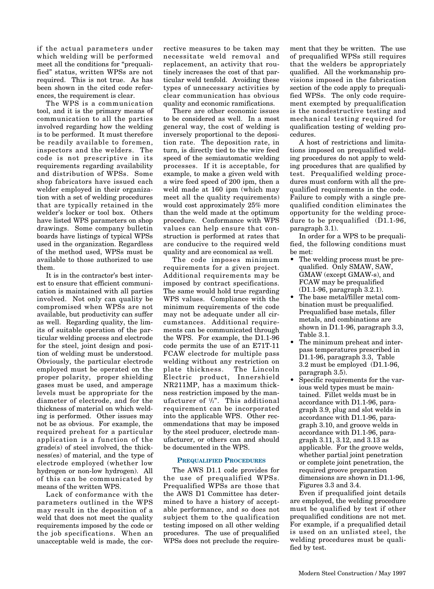if the actual parameters under which welding will be performed meet all the conditions for "prequalified" status, written WPSs are not required. This is not true. As has been shown in the cited code references, the requirement is clear.

The WPS is a communication tool, and it is the primary means of communication to all the parties involved regarding how the welding is to be performed. It must therefore be readily available to foremen, inspectors and the welders. The code is not prescriptive in its requirements regarding availability and distribution of WPSs. Some shop fabricators have issued each welder employed in their organization with a set of welding procedures that are typically retained in the welder's locker or tool box. Others have listed WPS parameters on shop drawings. Some company bulletin boards have listings of typical WPSs used in the organization. Regardless of the method used, WPSs must be available to those authorized to use them.

It is in the contractor's best interest to ensure that efficient communication is maintained with all parties involved. Not only can quality be compromised when WPSs are not available, but productivity can suffer as well. Regarding quality, the limits of suitable operation of the particular welding process and electrode for the steel, joint design and position of welding must be understood. Obviously, the particular electrode employed must be operated on the proper polarity, proper shielding gases must be used, and amperage levels must be appropriate for the diameter of electrode, and for the thickness of material on which welding is performed. Other issues may not be as obvious. For example, the required preheat for a particular application is a function of the grade(s) of steel involved, the thickness(es) of material, and the type of electrode employed (whether low hydrogen or non-low hydrogen). All of this can be communicated by means of the written WPS.

Lack of conformance with the parameters outlined in the WPS may result in the deposition of a weld that does not meet the quality requirements imposed by the code or the job specifications. When an unacceptable weld is made, the corrective measures to be taken may necessitate weld removal and replacement, an activity that routinely increases the cost of that particular weld tenfold. Avoiding these types of unnecessary activities by clear communication has obvious quality and economic ramifications.

There are other economic issues to be considered as well. In a most general way, the cost of welding is inversely proportional to the deposition rate. The deposition rate, in turn, is directly tied to the wire feed speed of the semiautomatic welding processes. If it is acceptable, for example, to make a given weld with a wire feed speed of 200 ipm, then a weld made at 160 ipm (which may meet all the quality requirements) would cost approximately 25% more than the weld made at the optimum procedure. Conformance with WPS values can help ensure that construction is performed at rates that are conducive to the required weld quality and are economical as well.

The code imposes minimum requirements for a given project. Additional requirements may be imposed by contract specifications. The same would hold true regarding WPS values. Compliance with the minimum requirements of the code may not be adequate under all circumstances. Additional requirements can be communicated through the WPS. For example, the D1.1-96 code permits the use of an E71T-11 FCAW electrode for multiple pass welding without any restriction on plate thickness. The Lincoln Electric product, Innershield NR211MP, has a maximum thickness restriction imposed by the manufacturer of 1 /2". This additional requirement can be incorporated into the applicable WPS. Other recommendations that may be imposed by the steel producer, electrode manufacturer, or others can and should be documented in the WPS.

### **PREQUALIFIED PROCEDURES**

The AWS D1.1 code provides for the use of prequalified WPSs. Prequalified WPSs are those that the AWS D1 Committee has determined to have a history of acceptable performance, and so does not subject them to the qualification testing imposed on all other welding procedures. The use of prequalified WPSs does not preclude the requirement that they be written. The use of prequalified WPSs still requires that the welders be appropriately qualified. All the workmanship provisions imposed in the fabrication section of the code apply to prequalified WPSs. The only code requirement exempted by prequalification is the nondestructive testing and mechanical testing required for qualification testing of welding procedures.

A host of restrictions and limitations imposed on prequalified welding procedures do not apply to welding procedures that are qualified by test. Prequalified welding procedures must conform with all the prequalified requirements in the code. Failure to comply with a single prequalified condition eliminates the opportunity for the welding procedure to be prequalified (D1.1-96, paragraph 3.1).

In order for a WPS to be prequalified, the following conditions must be met:

- The welding process must be prequalified. Only SMAW, SAW, GMAW (except GMAW-s), and FCAW may be prequalified (D1.1-96, paragraph 3.2.1).
- The base metal/filler metal combination must be prequalified. Prequalified base metals, filler metals, and combinations are shown in D1.1-96, paragraph 3.3, Table 3.1.
- The minimum preheat and interpass temperatures prescribed in D1.1-96, paragraph 3.3, Table 3.2 must be employed (D1.1-96, paragraph 3.5).
- Specific requirements for the various weld types must be maintained. Fillet welds must be in accordance with D1.1-96, paragraph 3.9, plug and slot welds in accordance with D1.1-96, paragraph 3.10, and groove welds in accordance with D1.1-96, paragraph 3.11, 3.12, and 3.13 as applicable. For the groove welds, whether partial joint penetration or complete joint penetration, the required groove preparation dimensions are shown in D1.1-96, Figures 3.3 and 3.4.

Even if prequalified joint details are employed, the welding procedure must be qualified by test if other prequalified conditions are not met. For example, if a prequalified detail is used on an unlisted steel, the welding procedures must be qualified by test.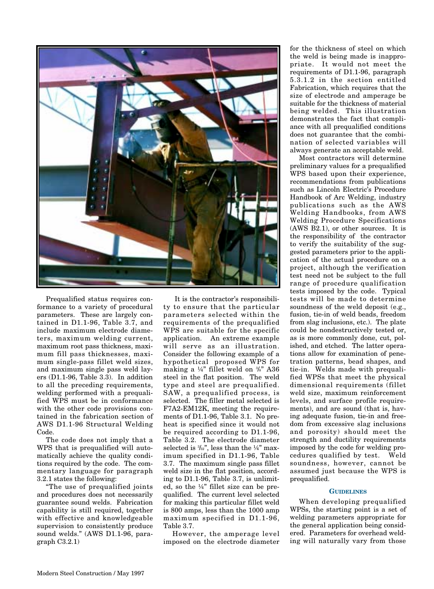

Prequalified status requires conformance to a variety of procedural parameters. These are largely contained in D1.1-96, Table 3.7, and include maximum electrode diameters, maximum welding current, maximum root pass thickness, maximum fill pass thicknesses, maximum single-pass fillet weld sizes, and maximum single pass weld layers (D1.1-96, Table 3.3). In addition to all the preceding requirements, welding performed with a prequalified WPS must be in conformance with the other code provisions contained in the fabrication section of AWS D1.1-96 Structural Welding Code.

The code does not imply that a WPS that is prequalified will automatically achieve the quality conditions required by the code. The commentary language for paragraph 3.2.1 states the following:

"The use of prequalified joints and procedures does not necessarily guarantee sound welds. Fabrication capability is still required, together with effective and knowledgeable supervision to consistently produce sound welds." (AWS D1.1-96, paragraph C3.2.1)

It is the contractor's responsibility to ensure that the particular parameters selected within the requirements of the prequalified WPS are suitable for the specific application. An extreme example will serve as an illustration. Consider the following example of a hypothetical proposed WPS for making a ¼" fillet weld on 3 /8" A36 steel in the flat position. The weld type and steel are prequalified. SAW, a prequalified process, is selected. The filler metal selected is F7A2-EM12K, meeting the requirements of D1.1-96, Table 3.1. No preheat is specified since it would not be required according to D1.1-96, Table 3.2. The electrode diameter selected is  $\frac{3}{2}$ , less than the  $\frac{1}{4}$  maximum specified in D1.1-96, Table 3.7. The maximum single pass fillet weld size in the flat position, according to D1.1-96, Table 3.7, is unlimited, so the ¼" fillet size can be prequalified. The current level selected for making this particular fillet weld is 800 amps, less than the 1000 amp maximum specified in D1.1-96, Table 3.7.

However, the amperage level imposed on the electrode diameter for the thickness of steel on which the weld is being made is inappropriate. It would not meet the requirements of D1.1-96, paragraph 5.3.1.2 in the section entitled Fabrication, which requires that the size of electrode and amperage be suitable for the thickness of material being welded. This illustration demonstrates the fact that compliance with all prequalified conditions does not guarantee that the combination of selected variables will always generate an acceptable weld.

Most contractors will determine preliminary values for a prequalified WPS based upon their experience, recommendations from publications such as Lincoln Electric's Procedure Handbook of Arc Welding, industry publications such as the AWS Welding Handbooks, from AWS Welding Procedure Specifications (AWS B2.1), or other sources. It is the responsibility of the contractor to verify the suitability of the suggested parameters prior to the application of the actual procedure on a project, although the verification test need not be subject to the full range of procedure qualification tests imposed by the code. Typical tests will be made to determine soundness of the weld deposit (e.g., fusion, tie-in of weld beads, freedom from slag inclusions, etc.). The plate could be nondestructively tested or, as is more commonly done, cut, polished, and etched. The latter operations allow for examination of penetration patterns, bead shapes, and tie-in. Welds made with prequalified WPSs that meet the physical dimensional requirements (fillet weld size, maximum reinforcement levels, and surface profile requirements), and are sound (that is, having adequate fusion, tie-in and freedom from excessive slag inclusions and porosity) should meet the strength and ductility requirements imposed by the code for welding procedures qualified by test. Weld soundness, however, cannot be assumed just because the WPS is prequalified.

### **GUIDELINES**

When developing prequalified WPSs, the starting point is a set of welding parameters appropriate for the general application being considered. Parameters for overhead welding will naturally vary from those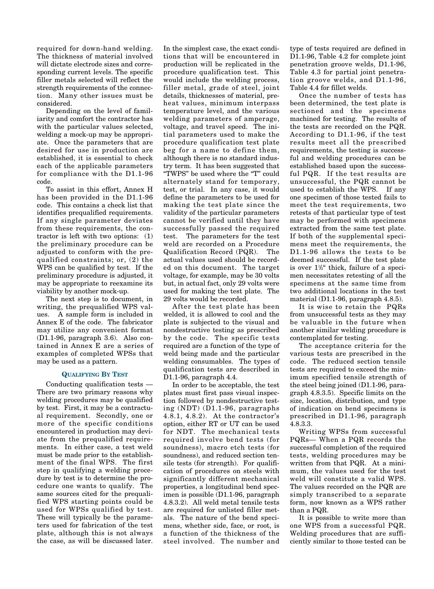required for down-hand welding. The thickness of material involved will dictate electrode sizes and corresponding current levels. The specific filler metals selected will reflect the strength requirements of the connection. Many other issues must be considered.

Depending on the level of familiarity and comfort the contractor has with the particular values selected, welding a mock-up may be appropriate. Once the parameters that are desired for use in production are established, it is essential to check each of the applicable parameters for compliance with the D1.1-96 code.

To assist in this effort, Annex H has been provided in the D1.1-96 code. This contains a check list that identifies prequalified requirements. If any single parameter deviates from these requirements, the contractor is left with two options: (1) the preliminary procedure can be adjusted to conform with the prequalified constraints; or, (2) the WPS can be qualified by test. If the preliminary procedure is adjusted, it may be appropriate to reexamine its viability by another mock-up.

The next step is to document, in writing, the prequalified WPS values. A sample form is included in Annex E of the code. The fabricator may utilize any convenient format (D1.1-96, paragraph 3.6). Also contained in Annex E are a series of examples of completed WPSs that may be used as a pattern.

### **QUALIFYING BY TEST**

Conducting qualification tests — There are two primary reasons why welding procedures may be qualified by test. First, it may be a contractual requirement. Secondly, one or more of the specific conditions encountered in production may deviate from the prequalified requirements. In either case, a test weld must be made prior to the establishment of the final WPS. The first step in qualifying a welding procedure by test is to determine the procedure one wants to qualify. The same sources cited for the prequalified WPS starting points could be used for WPSs qualified by test. These will typically be the parameters used for fabrication of the test plate, although this is not always the case, as will be discussed later.

In the simplest case, the exact conditions that will be encountered in production will be replicated in the procedure qualification test. This would include the welding process, filler metal, grade of steel, joint details, thicknesses of material, preheat values, minimum interpass temperature level, and the various welding parameters of amperage, voltage, and travel speed. The initial parameters used to make the procedure qualification test plate beg for a name to define them, although there is no standard industry term. It has been suggested that "TWPS" be used where the "T" could alternately stand for temporary, test, or trial. In any case, it would define the parameters to be used for making the test plate since the validity of the particular parameters cannot be verified until they have successfully passed the required test. The parameters for the test weld are recorded on a Procedure Qualification Record (PQR). The actual values used should be recorded on this document. The target voltage, for example, may be 30 volts but, in actual fact, only 29 volts were used for making the test plate. The 29 volts would be recorded.

After the test plate has been welded, it is allowed to cool and the plate is subjected to the visual and nondestructive testing as prescribed by the code. The specific tests required are a function of the type of weld being made and the particular welding consumables. The types of qualification tests are described in D1.1-96, paragraph 4.4.

In order to be acceptable, the test plates must first pass visual inspection followed by nondestructive testing (NDT) (D1.1-96, paragraphs 4.8.1, 4.8.2). At the contractor's option, either RT or UT can be used for NDT. The mechanical tests required involve bend tests (for soundness), macro etch tests (for soundness), and reduced section tensile tests (for strength). For qualification of procedures on steels with significantly different mechanical properties, a longitudinal bend specimen is possible (D1.1-96, paragraph 4.8.3.2). All weld metal tensile tests are required for unlisted filler metals. The nature of the bend specimens, whether side, face, or root, is a function of the thickness of the steel involved. The number and

type of tests required are defined in D1.1-96, Table 4.2 for complete joint penetration groove welds, D1.1-96, Table 4.3 for partial joint penetration groove welds, and D1.1-96, Table 4.4 for fillet welds.

Once the number of tests has been determined, the test plate is sectioned and the specimens machined for testing. The results of the tests are recorded on the PQR. According to D1.1-96, if the test results meet all the prescribed requirements, the testing is successful and welding procedures can be established based upon the successful PQR. If the test results are unsuccessful, the PQR cannot be used to establish the WPS. If any one specimen of those tested fails to meet the test requirements, two retests of that particular type of test may be performed with specimens extracted from the same test plate. If both of the supplemental specimens meet the requirements, the D1.1-96 allows the tests to be deemed successful. If the test plate is over 11 /2" thick, failure of a specimen necessitates retesting of all the specimens at the same time from two additional locations in the test material (D1.1-96, paragraph 4.8.5).

It is wise to retain the PQRs from unsuccessful tests as they may be valuable in the future when another similar welding procedure is contemplated for testing.

The acceptance criteria for the various tests are prescribed in the code. The reduced section tensile tests are required to exceed the minimum specified tensile strength of the steel being joined (D1.1-96, paragraph 4.8.3.5). Specific limits on the size, location, distribution, and type of indication on bend specimens is prescribed in D1.1-96, paragraph 4.8.3.3.

Writing WPSs from successful PQRs— When a PQR records the successful completion of the required tests, welding procedures may be written from that PQR. At a minimum, the values used for the test weld will constitute a valid WPS. The values recorded on the PQR are simply transcribed to a separate form, now known as a WPS rather than a PQR.

It is possible to write more than one WPS from a successful PQR. Welding procedures that are sufficiently similar to those tested can be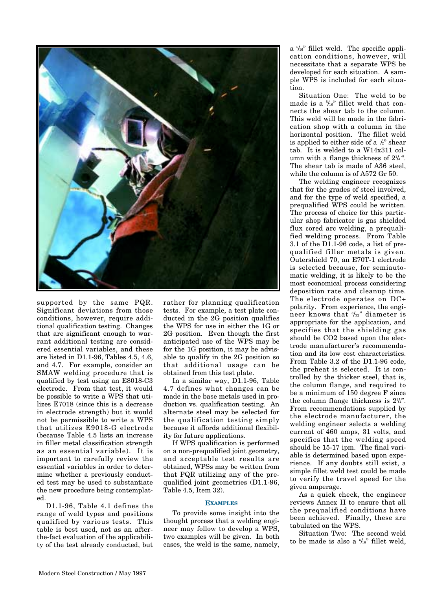

supported by the same PQR. Significant deviations from those conditions, however, require additional qualification testing. Changes that are significant enough to warrant additional testing are considered essential variables, and these are listed in D1.1-96, Tables 4.5, 4.6, and 4.7. For example, consider an SMAW welding procedure that is qualified by test using an E8018-C3 electrode. From that test, it would be possible to write a WPS that utilizes E7018 (since this is a decrease in electrode strength) but it would not be permissible to write a WPS that utilizes E9018-G electrode (because Table 4.5 lists an increase in filler metal classification strength as an essential variable). It is important to carefully review the essential variables in order to determine whether a previously conducted test may be used to substantiate the new procedure being contemplated.

D1.1-96, Table 4.1 defines the range of weld types and positions qualified by various tests. This table is best used, not as an afterthe-fact evaluation of the applicability of the test already conducted, but rather for planning qualification tests. For example, a test plate conducted in the 2G position qualifies the WPS for use in either the 1G or 2G position. Even though the first anticipated use of the WPS may be for the 1G position, it may be advisable to qualify in the 2G position so that additional usage can be obtained from this test plate.

In a similar way, D1.1-96, Table 4.7 defines what changes can be made in the base metals used in production vs. qualification testing. An alternate steel may be selected for the qualification testing simply because it affords additional flexibility for future applications.

If WPS qualification is performed on a non-prequalified joint geometry, and acceptable test results are obtained, WPSs may be written from that PQR utilizing any of the prequalified joint geometries (D1.1-96, Table 4.5, Item 32).

### **EXAMPLES**

To provide some insight into the thought process that a welding engineer may follow to develop a WPS, two examples will be given. In both cases, the weld is the same, namely,

a 5 /16" fillet weld. The specific application conditions, however, will necessitate that a separate WPS be developed for each situation. A sample WPS is included for each situation.

Situation One: The weld to be made is a 5 /16" fillet weld that connects the shear tab to the column. This weld will be made in the fabrication shop with a column in the horizontal position. The fillet weld is applied to either side of a  $\frac{1}{2}$  shear tab. It is welded to a W14x311 column with a flange thickness of  $2\frac{1}{4}$ ". The shear tab is made of A36 steel, while the column is of A572 Gr 50.

The welding engineer recognizes that for the grades of steel involved, and for the type of weld specified, a prequalified WPS could be written. The process of choice for this particular shop fabricator is gas shielded flux cored arc welding, a prequalified welding process. From Table 3.1 of the D1.1-96 code, a list of prequalified filler metals is given. Outershield 70, an E70T-1 electrode is selected because, for semiautomatic welding, it is likely to be the most economical process considering deposition rate and cleanup time. The electrode operates on DC+ polarity. From experience, the engineer knows that 3 /32" diameter is appropriate for the application, and specifies that the shielding gas should be CO2 based upon the electrode manufacturer's recommendation and its low cost characteristics. From Table 3.2 of the D1.1-96 code, the preheat is selected. It is controlled by the thicker steel, that is, the column flange, and required to be a minimum of 150 degree F since the column flange thickness is  $2\frac{1}{4}$ . From recommendations supplied by the electrode manufacturer, the welding engineer selects a welding current of 460 amps, 31 volts, and specifies that the welding speed should be 15-17 ipm. The final variable is determined based upon experience. If any doubts still exist, a simple fillet weld test could be made to verify the travel speed for the given amperage.

As a quick check, the engineer reviews Annex H to ensure that all the prequalified conditions have been achieved. Finally, these are tabulated on the WPS.

Situation Two: The second weld to be made is also a  $\frac{5}{16}$ " fillet weld,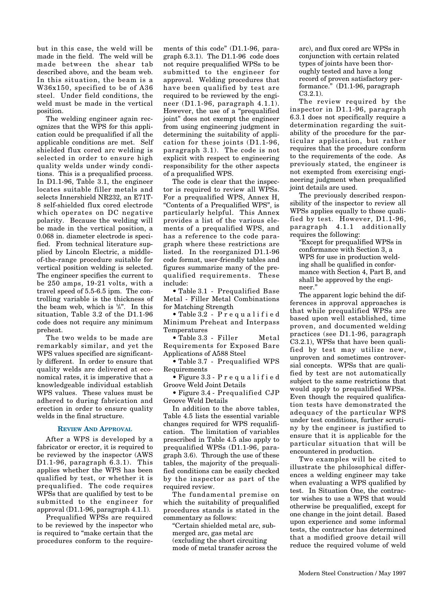but in this case, the weld will be made in the field. The weld will be made between the shear tab described above, and the beam web. In this situation, the beam is a W36x150, specified to be of A36 steel. Under field conditions, the weld must be made in the vertical position.

The welding engineer again recognizes that the WPS for this application could be prequalified if all the applicable conditions are met. Self shielded flux cored arc welding is selected in order to ensure high quality welds under windy conditions. This is a prequalified process. In D1.1-96, Table 3.1, the engineer locates suitable filler metals and selects Innershield NR232, an E71T-8 self-shielded flux cored electrode which operates on DC negative polarity. Because the welding will be made in the vertical position, a 0.068 in. diameter electrode is specified. From technical literature supplied by Lincoln Electric, a middleof-the-range procedure suitable for vertical position welding is selected. The engineer specifies the current to be 250 amps, 19-21 volts, with a travel speed of 5.5-6.5 ipm. The controlling variable is the thickness of the beam web, which is  $\frac{5}{6}$ . In this situation, Table 3.2 of the D1.1-96 code does not require any minimum preheat.

The two welds to be made are remarkably similar, and yet the WPS values specified are significantly different. In order to ensure that quality welds are delivered at economical rates, it is imperative that a knowledgeable individual establish WPS values. These values must be adhered to during fabrication and erection in order to ensure quality welds in the final structure.

### **REVIEW AND APPROVAL**

After a WPS is developed by a fabricator or erector, it is required to be reviewed by the inspector (AWS D1.1-96, paragraph 6.3.1). This applies whether the WPS has been qualified by test, or whether it is prequalified. The code requires WPSs that are qualified by test to be submitted to the engineer for approval (D1.1-96, paragraph 4.1.1).

Prequalified WPSs are required to be reviewed by the inspector who is required to "make certain that the procedures conform to the requirements of this code" (D1.1-96, paragraph 6.3.1). The D1.1-96 code does not require prequalified WPSs to be submitted to the engineer for approval. Welding procedures that have been qualified by test are required to be reviewed by the engineer (D1.1-96, paragraph 4.1.1). However, the use of a "prequalified joint" does not exempt the engineer from using engineering judgment in determining the suitability of application for these joints (D1.1-96, paragraph 3.1). The code is not explicit with respect to engineering responsibility for the other aspects of a prequalified WPS.

The code is clear that the inspector is required to review all WPSs. For a prequalified WPS, Annex H, "Contents of a Prequalified WPS", is particularly helpful. This Annex provides a list of the various elements of a prequalified WPS, and has a reference to the code paragraph where these restrictions are listed. In the reorganized D1.1-96 code format, user-friendly tables and figures summarize many of the prequalified requirements. These include:

• Table 3.1 - Prequalified Base Metal - Filler Metal Combinations for Matching Strength

• Table 3.2 - Prequalified Minimum Preheat and Interpass Temperatures

• Table 3.3 - Filler Metal Requirements for Exposed Bare Applications of A588 Steel

• Table 3.7 - Prequalified WPS Requirements

• Figure 3.3 - Prequalified Groove Weld Joint Details

• Figure 3.4 - Prequalified CJP Groove Weld Details

In addition to the above tables, Table 4.5 lists the essential variable changes required for WPS requalification. The limitation of variables prescribed in Table 4.5 also apply to prequalified WPSs (D1.1-96, paragraph 3.6). Through the use of these tables, the majority of the prequalified conditions can be easily checked by the inspector as part of the required review.

The fundamental premise on which the suitability of prequalified procedures stands is stated in the commentary as follows:

"Certain shielded metal arc, submerged arc, gas metal arc (excluding the short circuiting mode of metal transfer across the

arc), and flux cored arc WPSs in conjunction with certain related types of joints have been thoroughly tested and have a long record of proven satisfactory performance." (D1.1-96, paragraph C3.2.1).

The review required by the inspector in D1.1-96, paragraph 6.3.1 does not specifically require a determination regarding the suitability of the procedure for the particular application, but rather requires that the procedure conform to the requirements of the code. As previously stated, the engineer is not exempted from exercising engineering judgment when prequalified joint details are used.

The previously described responsibility of the inspector to review all WPSs applies equally to those qualified by test. However, D1.1-96, paragraph 4.1.1 additionally requires the following:

"Except for prequalified WPSs in conformance with Section 3, a WPS for use in production welding shall be qualified in conformance with Section 4, Part B, and shall be approved by the engineer."

The apparent logic behind the differences in approval approaches is that while prequalified WPSs are based upon well established, time proven, and documented welding practices (see D1.1-96, paragraph C3.2.1), WPSs that have been qualified by test may utilize new, unproven and sometimes controversial concepts. WPSs that are qualified by test are not automatically subject to the same restrictions that would apply to prequalified WPSs. Even though the required qualification tests have demonstrated the adequacy of the particular WPS under test conditions, further scrutiny by the engineer is justified to ensure that it is applicable for the particular situation that will be encountered in production.

Two examples will be cited to illustrate the philosophical differences a welding engineer may take when evaluating a WPS qualified by test. In Situation One, the contractor wishes to use a WPS that would otherwise be prequalified, except for one change in the joint detail. Based upon experience and some informal tests, the contractor has determined that a modified groove detail will reduce the required volume of weld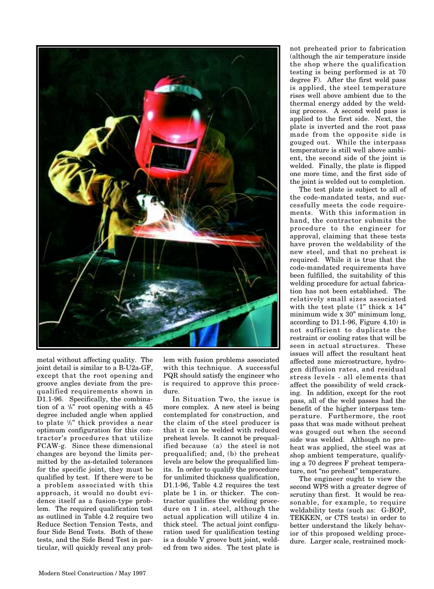

metal without affecting quality. The joint detail is similar to a B-U2a-GF, except that the root opening and groove angles deviate from the prequalified requirements shown in D1.1-96. Specifically, the combination of a  $\frac{1}{8}$ " root opening with a 45 degree included angle when applied to plate 1 /2" thick provides a near optimum configuration for this contractor's procedures that utilize FCAW-g. Since these dimensional changes are beyond the limits permitted by the as-detailed tolerances for the specific joint, they must be qualified by test. If there were to be a problem associated with this approach, it would no doubt evidence itself as a fusion-type problem. The required qualification test as outlined in Table 4.2 require two Reduce Section Tension Tests, and four Side Bend Tests. Both of these tests, and the Side Bend Test in particular, will quickly reveal any problem with fusion problems associated with this technique. A successful PQR should satisfy the engineer who is required to approve this procedure.

In Situation Two, the issue is more complex. A new steel is being contemplated for construction, and the claim of the steel producer is that it can be welded with reduced preheat levels. It cannot be prequalified because (a) the steel is not prequalified; and, (b) the preheat levels are below the prequalified limits. In order to qualify the procedure for unlimited thickness qualification, D1.1-96, Table 4.2 requires the test plate be 1 in. or thicker. The contractor qualifies the welding procedure on 1 in. steel, although the actual application will utilize 4 in. thick steel. The actual joint configuration used for qualification testing is a double V groove butt joint, welded from two sides. The test plate is

not preheated prior to fabrication (although the air temperature inside the shop where the qualification testing is being performed is at 70 degree F). After the first weld pass is applied, the steel temperature rises well above ambient due to the thermal energy added by the welding process. A second weld pass is applied to the first side. Next, the plate is inverted and the root pass made from the opposite side is gouged out. While the interpass temperature is still well above ambient, the second side of the joint is welded. Finally, the plate is flipped one more time, and the first side of the joint is welded out to completion.

The test plate is subject to all of the code-mandated tests, and successfully meets the code requirements. With this information in hand, the contractor submits the procedure to the engineer for approval, claiming that these tests have proven the weldability of the new steel, and that no preheat is required. While it is true that the code-mandated requirements have been fulfilled, the suitability of this welding procedure for actual fabrication has not been established. The relatively small sizes associated with the test plate (1" thick x 14" minimum wide x 30" minimum long, according to D1.1-96, Figure 4.10) is not sufficient to duplicate the restraint or cooling rates that will be seen in actual structures. These issues will affect the resultant heat affected zone microstructure, hydrogen diffusion rates, and residual stress levels - all elements that affect the possibility of weld cracking. In addition, except for the root pass, all of the weld passes had the benefit of the higher interpass temperature. Furthermore, the root pass that was made without preheat was gouged out when the second side was welded. Although no preheat was applied, the steel was at shop ambient temperature, qualifying a 70 degrees F preheat temperature, not "no preheat" temperature.

The engineer ought to view the second WPS with a greater degree of scrutiny than first. It would be reasonable, for example, to require weldability tests (such as: G-BOP, TEKKEN, or CTS tests) in order to better understand the likely behavior of this proposed welding procedure. Larger scale, restrained mock